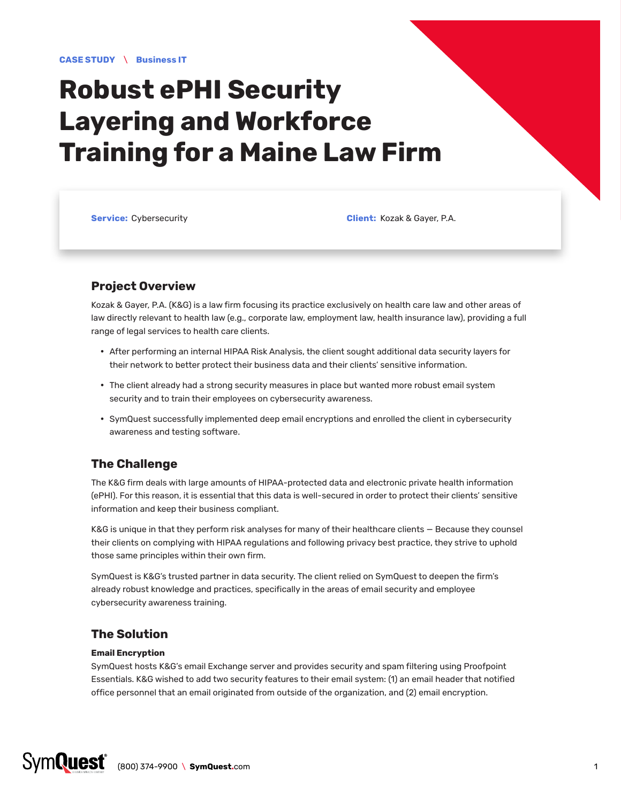# **Robust ePHI Security Layering and Workforce Training for a Maine Law Firm**

**Service:** Cybersecurity **Client:** Kozak & Gayer, P.A.

## **Project Overview**

Kozak & Gayer, P.A. (K&G) is a law firm focusing its practice exclusively on health care law and other areas of law directly relevant to health law (e.g., corporate law, employment law, health insurance law), providing a full range of legal services to health care clients.

- After performing an internal HIPAA Risk Analysis, the client sought additional data security layers for their network to better protect their business data and their clients' sensitive information.
- The client already had a strong security measures in place but wanted more robust email system security and to train their employees on cybersecurity awareness.
- y SymQuest successfully implemented deep email encryptions and enrolled the client in cybersecurity awareness and testing software.

# **The Challenge**

The K&G firm deals with large amounts of HIPAA-protected data and electronic private health information (ePHI). For this reason, it is essential that this data is well-secured in order to protect their clients' sensitive information and keep their business compliant.

K&G is unique in that they perform risk analyses for many of their healthcare clients — Because they counsel their clients on complying with HIPAA regulations and following privacy best practice, they strive to uphold those same principles within their own firm.

SymQuest is K&G's trusted partner in data security. The client relied on SymQuest to deepen the firm's already robust knowledge and practices, specifically in the areas of email security and employee cybersecurity awareness training.

# **The Solution**

### **Email Encryption**

SymQuest hosts K&G's email Exchange server and provides security and spam filtering using Proofpoint Essentials. K&G wished to add two security features to their email system: (1) an email header that notified office personnel that an email originated from outside of the organization, and (2) email encryption.